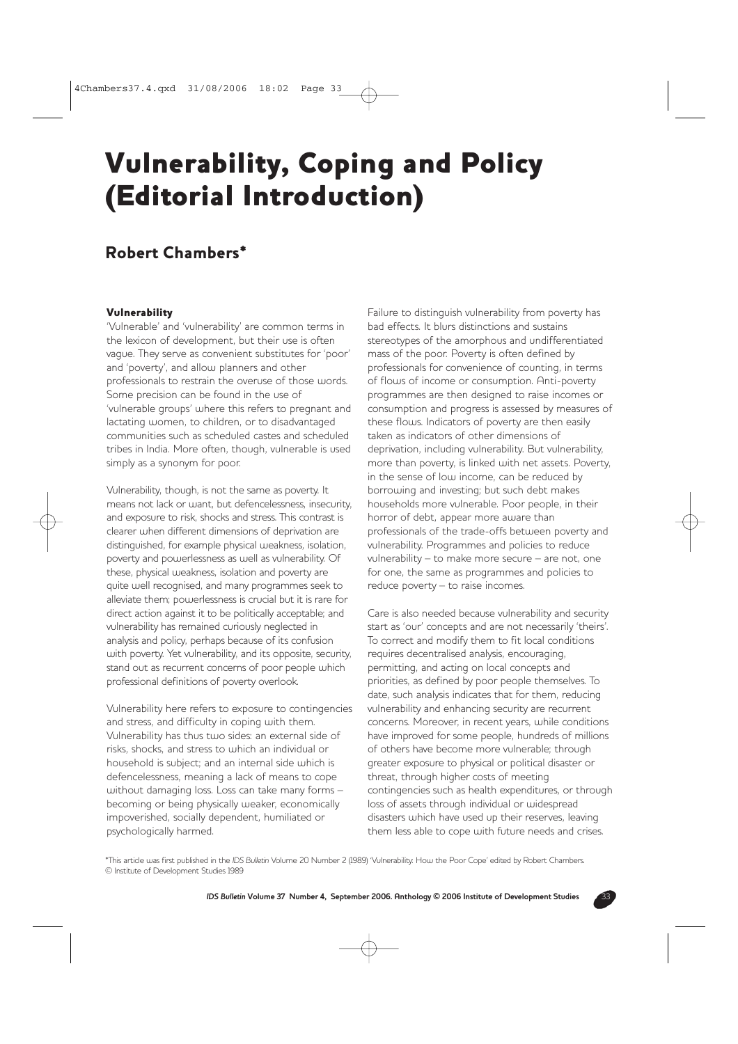# Vulnerability, Coping and Policy (Editorial Introduction)

# Robert Chambers\*

#### Vulnerability

'Vulnerable' and 'vulnerability' are common terms in the lexicon of development, but their use is often vague. They serve as convenient substitutes for 'poor' and 'poverty', and allow planners and other professionals to restrain the overuse of those words. Some precision can be found in the use of 'vulnerable groups' where this refers to pregnant and lactating women, to children, or to disadvantaged communities such as scheduled castes and scheduled tribes in India. More often, though, vulnerable is used simply as a synonym for poor.

Vulnerability, though, is not the same as poverty. It means not lack or want, but defencelessness, insecurity, and exposure to risk, shocks and stress. This contrast is clearer when different dimensions of deprivation are distinguished, for example physical weakness, isolation, poverty and powerlessness as well as vulnerability. Of these, physical weakness, isolation and poverty are quite well recognised, and many programmes seek to alleviate them; powerlessness is crucial but it is rare for direct action against it to be politically acceptable; and vulnerability has remained curiously neglected in analysis and policy, perhaps because of its confusion with poverty. Yet vulnerability, and its opposite, security, stand out as recurrent concerns of poor people which professional definitions of poverty overlook.

Vulnerability here refers to exposure to contingencies and stress, and difficulty in coping with them. Vulnerability has thus two sides: an external side of risks, shocks, and stress to which an individual or household is subject; and an internal side which is defencelessness, meaning a lack of means to cope without damaging loss. Loss can take many forms – becoming or being physically weaker, economically impoverished, socially dependent, humiliated or psychologically harmed.

Failure to distinguish vulnerability from poverty has bad effects. It blurs distinctions and sustains stereotypes of the amorphous and undifferentiated mass of the poor. Poverty is often defined by professionals for convenience of counting, in terms of flows of income or consumption. Anti-poverty programmes are then designed to raise incomes or consumption and progress is assessed by measures of these flows. Indicators of poverty are then easily taken as indicators of other dimensions of deprivation, including vulnerability. But vulnerability, more than poverty, is linked with net assets. Poverty, in the sense of low income, can be reduced by borrowing and investing; but such debt makes households more vulnerable. Poor people, in their horror of debt, appear more aware than professionals of the trade-offs between poverty and vulnerability. Programmes and policies to reduce vulnerability – to make more secure – are not, one for one, the same as programmes and policies to reduce poverty – to raise incomes.

Care is also needed because vulnerability and security start as 'our' concepts and are not necessarily 'theirs'. To correct and modify them to fit local conditions requires decentralised analysis, encouraging, permitting, and acting on local concepts and priorities, as defined by poor people themselves. To date, such analysis indicates that for them, reducing vulnerability and enhancing security are recurrent concerns. Moreover, in recent years, while conditions have improved for some people, hundreds of millions of others have become more vulnerable; through greater exposure to physical or political disaster or threat, through higher costs of meeting contingencies such as health expenditures, or through loss of assets through individual or widespread disasters which have used up their reserves, leaving them less able to cope with future needs and crises.

\*This article was first published in the *IDS Bulletin* Volume 20 Number 2 (1989) 'Vulnerability: How the Poor Cope' edited by Robert Chambers. © Institute of Development Studies 1989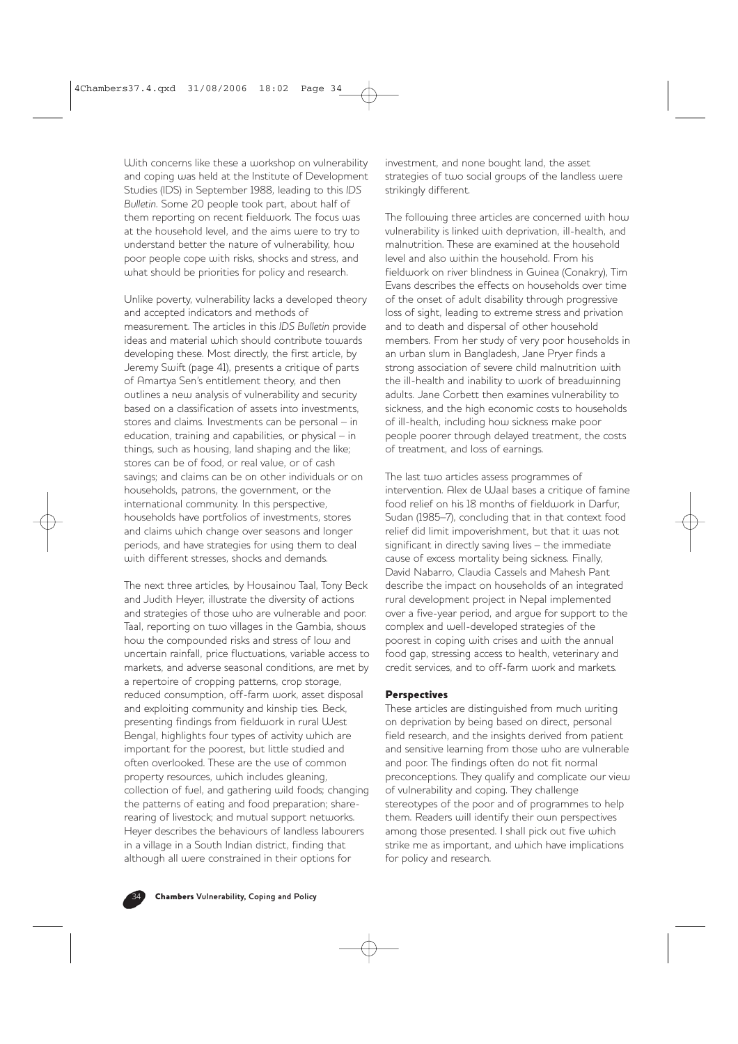With concerns like these a workshop on vulnerability and coping was held at the Institute of Development Studies (IDS) in September 1988, leading to this *IDS Bulletin*. Some 20 people took part, about half of them reporting on recent fieldwork. The focus was at the household level, and the aims were to try to understand better the nature of vulnerability, how poor people cope with risks, shocks and stress, and what should be priorities for policy and research.

Unlike poverty, vulnerability lacks a developed theory and accepted indicators and methods of measurement. The articles in this *IDS Bulletin* provide ideas and material which should contribute towards developing these. Most directly, the first article, by Jeremy Swift (page 41), presents a critique of parts of Amartya Sen's entitlement theory, and then outlines a new analysis of vulnerability and security based on a classification of assets into investments, stores and claims. Investments can be personal – in education, training and capabilities, or physical – in things, such as housing, land shaping and the like; stores can be of food, or real value, or of cash savings; and claims can be on other individuals or on households, patrons, the government, or the international community. In this perspective, households have portfolios of investments, stores and claims which change over seasons and longer periods, and have strategies for using them to deal with different stresses, shocks and demands.

The next three articles, by Housainou Taal, Tony Beck and Judith Heyer, illustrate the diversity of actions and strategies of those who are vulnerable and poor. Taal, reporting on two villages in the Gambia, shows how the compounded risks and stress of low and uncertain rainfall, price fluctuations, variable access to markets, and adverse seasonal conditions, are met by a repertoire of cropping patterns, crop storage, reduced consumption, off-farm work, asset disposal and exploiting community and kinship ties. Beck, presenting findings from fieldwork in rural West Bengal, highlights four types of activity which are important for the poorest, but little studied and often overlooked. These are the use of common property resources, which includes gleaning, collection of fuel, and gathering wild foods; changing the patterns of eating and food preparation; sharerearing of livestock; and mutual support networks. Heyer describes the behaviours of landless labourers in a village in a South Indian district, finding that although all were constrained in their options for

investment, and none bought land, the asset strategies of two social groups of the landless were strikingly different.

The following three articles are concerned with how vulnerability is linked with deprivation, ill-health, and malnutrition. These are examined at the household level and also within the household. From his fieldwork on river blindness in Guinea (Conakry), Tim Evans describes the effects on households over time of the onset of adult disability through progressive loss of sight, leading to extreme stress and privation and to death and dispersal of other household members. From her study of very poor households in an urban slum in Bangladesh, Jane Pryer finds a strong association of severe child malnutrition with the ill-health and inability to work of breadwinning adults. Jane Corbett then examines vulnerability to sickness, and the high economic costs to households of ill-health, including how sickness make poor people poorer through delayed treatment, the costs of treatment, and loss of earnings.

The last two articles assess programmes of intervention. Alex de Waal bases a critique of famine food relief on his 18 months of fieldwork in Darfur, Sudan (1985–7), concluding that in that context food relief did limit impoverishment, but that it was not significant in directly saving lives – the immediate cause of excess mortality being sickness. Finally, David Nabarro, Claudia Cassels and Mahesh Pant describe the impact on households of an integrated rural development project in Nepal implemented over a five-year period, and argue for support to the complex and well-developed strategies of the poorest in coping with crises and with the annual food gap, stressing access to health, veterinary and credit services, and to off-farm work and markets.

## Perspectives

These articles are distinguished from much writing on deprivation by being based on direct, personal field research, and the insights derived from patient and sensitive learning from those who are vulnerable and poor. The findings often do not fit normal preconceptions. They qualify and complicate our view of vulnerability and coping. They challenge stereotypes of the poor and of programmes to help them. Readers will identify their own perspectives among those presented. I shall pick out five which strike me as important, and which have implications for policy and research.

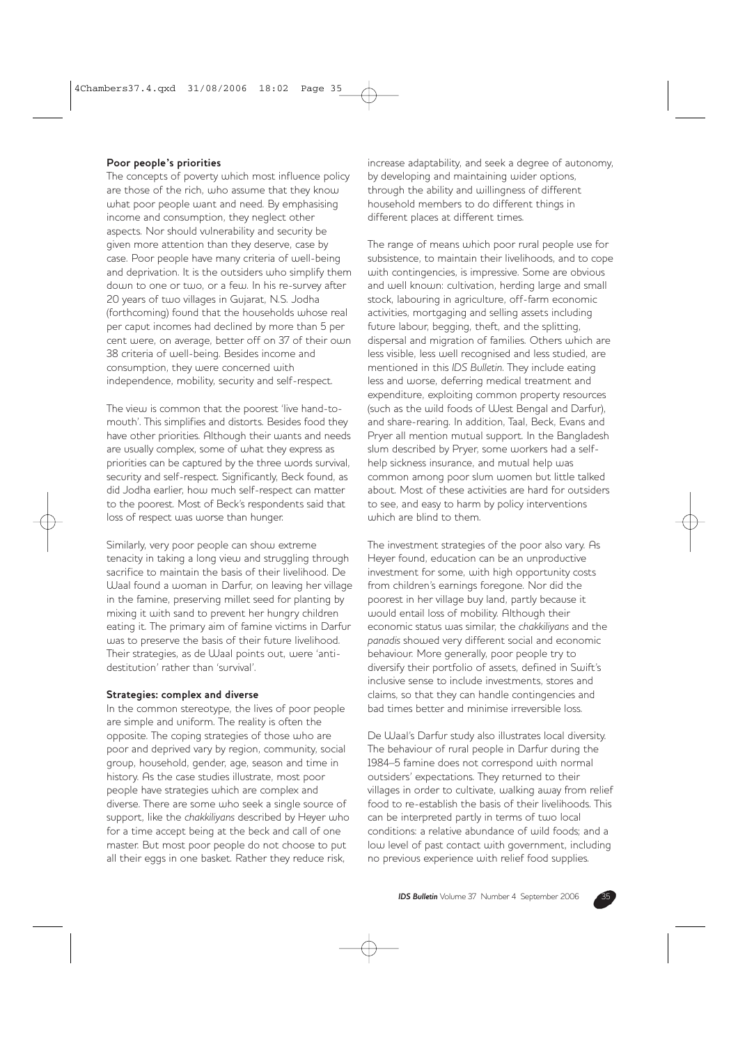#### **Poor people's priorities**

The concepts of poverty which most influence policy are those of the rich, who assume that they know what poor people want and need. By emphasising income and consumption, they neglect other aspects. Nor should vulnerability and security be given more attention than they deserve, case by case. Poor people have many criteria of well-being and deprivation. It is the outsiders who simplify them down to one or two, or a few. In his re-survey after 20 years of two villages in Gujarat, N.S. Jodha (forthcoming) found that the households whose real per caput incomes had declined by more than 5 per cent were, on average, better off on 37 of their own 38 criteria of well-being. Besides income and consumption, they were concerned with independence, mobility, security and self-respect.

The view is common that the poorest 'live hand-tomouth'. This simplifies and distorts. Besides food they have other priorities. Although their wants and needs are usually complex, some of what they express as priorities can be captured by the three words survival, security and self-respect. Significantly, Beck found, as did Jodha earlier, how much self-respect can matter to the poorest. Most of Beck's respondents said that loss of respect was worse than hunger.

Similarly, very poor people can show extreme tenacity in taking a long view and struggling through sacrifice to maintain the basis of their livelihood. De Waal found a woman in Darfur, on leaving her village in the famine, preserving millet seed for planting by mixing it with sand to prevent her hungry children eating it. The primary aim of famine victims in Darfur was to preserve the basis of their future livelihood. Their strategies, as de Waal points out, were 'antidestitution' rather than 'survival'.

## **Strategies: complex and diverse**

In the common stereotype, the lives of poor people are simple and uniform. The reality is often the opposite. The coping strategies of those who are poor and deprived vary by region, community, social group, household, gender, age, season and time in history. As the case studies illustrate, most poor people have strategies which are complex and diverse. There are some who seek a single source of support, like the *chakkiliyans* described by Heyer who for a time accept being at the beck and call of one master. But most poor people do not choose to put all their eggs in one basket. Rather they reduce risk,

increase adaptability, and seek a degree of autonomy, by developing and maintaining wider options, through the ability and willingness of different household members to do different things in different places at different times.

The range of means which poor rural people use for subsistence, to maintain their livelihoods, and to cope with contingencies, is impressive. Some are obvious and well known: cultivation, herding large and small stock, labouring in agriculture, off-farm economic activities, mortgaging and selling assets including future labour, begging, theft, and the splitting, dispersal and migration of families. Others which are less visible, less well recognised and less studied, are mentioned in this *IDS Bulletin*. They include eating less and worse, deferring medical treatment and expenditure, exploiting common property resources (such as the wild foods of West Bengal and Darfur), and share-rearing. In addition, Taal, Beck, Evans and Pryer all mention mutual support. In the Bangladesh slum described by Pryer, some workers had a selfhelp sickness insurance, and mutual help was common among poor slum women but little talked about. Most of these activities are hard for outsiders to see, and easy to harm by policy interventions which are blind to them.

The investment strategies of the poor also vary. As Heyer found, education can be an unproductive investment for some, with high opportunity costs from children's earnings foregone. Nor did the poorest in her village buy land, partly because it would entail loss of mobility. Although their economic status was similar, the *chakkiliyans* and the *panadis* showed very different social and economic behaviour. More generally, poor people try to diversify their portfolio of assets, defined in Swift's inclusive sense to include investments, stores and claims, so that they can handle contingencies and bad times better and minimise irreversible loss.

De Waal's Darfur study also illustrates local diversity. The behaviour of rural people in Darfur during the 1984–5 famine does not correspond with normal outsiders' expectations. They returned to their villages in order to cultivate, walking away from relief food to re-establish the basis of their livelihoods. This can be interpreted partly in terms of two local conditions: a relative abundance of wild foods; and a low level of past contact with government, including no previous experience with relief food supplies.

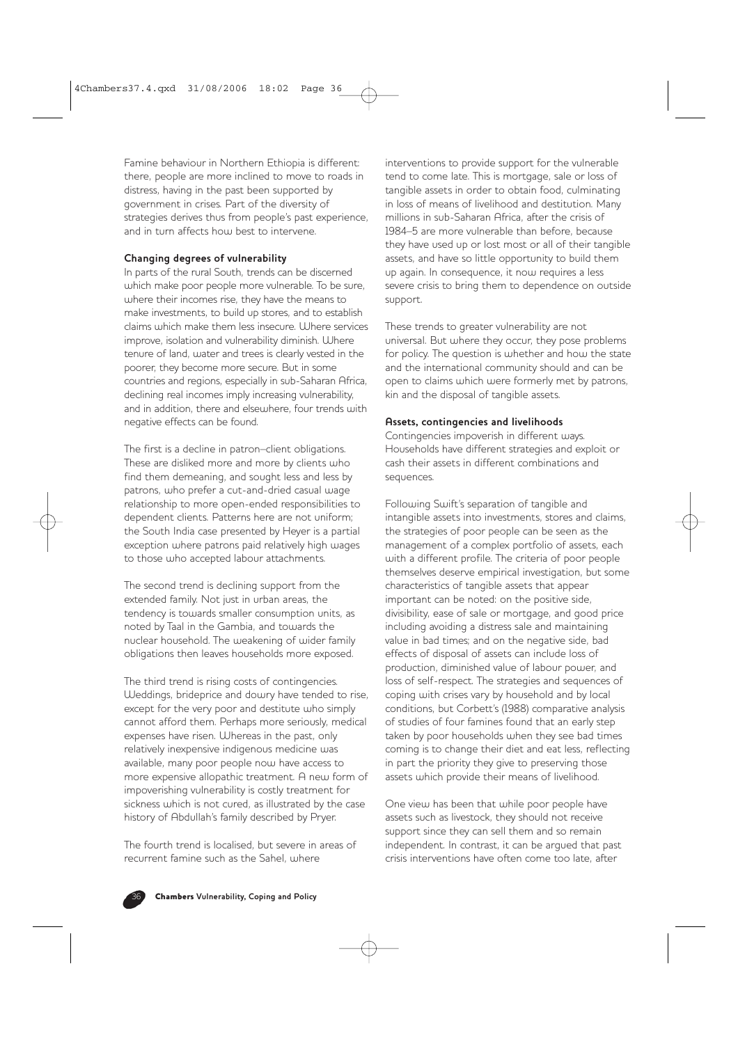Famine behaviour in Northern Ethiopia is different: there, people are more inclined to move to roads in distress, having in the past been supported by government in crises. Part of the diversity of strategies derives thus from people's past experience, and in turn affects how best to intervene.

# **Changing degrees of vulnerability**

In parts of the rural South, trends can be discerned which make poor people more vulnerable. To be sure, where their incomes rise, they have the means to make investments, to build up stores, and to establish claims which make them less insecure. Where services improve, isolation and vulnerability diminish. Where tenure of land, water and trees is clearly vested in the poorer, they become more secure. But in some countries and regions, especially in sub-Saharan Africa, declining real incomes imply increasing vulnerability, and in addition, there and elsewhere, four trends with negative effects can be found.

The first is a decline in patron–client obligations. These are disliked more and more by clients who find them demeaning, and sought less and less by patrons, who prefer a cut-and-dried casual wage relationship to more open-ended responsibilities to dependent clients. Patterns here are not uniform; the South India case presented by Heyer is a partial exception where patrons paid relatively high wages to those who accepted labour attachments.

The second trend is declining support from the extended family. Not just in urban areas, the tendency is towards smaller consumption units, as noted by Taal in the Gambia, and towards the nuclear household. The weakening of wider family obligations then leaves households more exposed.

The third trend is rising costs of contingencies. Weddings, brideprice and dowry have tended to rise, except for the very poor and destitute who simply cannot afford them. Perhaps more seriously, medical expenses have risen. Whereas in the past, only relatively inexpensive indigenous medicine was available, many poor people now have access to more expensive allopathic treatment. A new form of impoverishing vulnerability is costly treatment for sickness which is not cured, as illustrated by the case history of Abdullah's family described by Pryer.

The fourth trend is localised, but severe in areas of recurrent famine such as the Sahel, where

interventions to provide support for the vulnerable tend to come late. This is mortgage, sale or loss of tangible assets in order to obtain food, culminating in loss of means of livelihood and destitution. Many millions in sub-Saharan Africa, after the crisis of 1984–5 are more vulnerable than before, because they have used up or lost most or all of their tangible assets, and have so little opportunity to build them up again. In consequence, it now requires a less severe crisis to bring them to dependence on outside support.

These trends to greater vulnerability are not universal. But where they occur, they pose problems for policy. The question is whether and how the state and the international community should and can be open to claims which were formerly met by patrons, kin and the disposal of tangible assets.

# **Assets, contingencies and livelihoods**

Contingencies impoverish in different ways. Households have different strategies and exploit or cash their assets in different combinations and sequences.

Following Swift's separation of tangible and intangible assets into investments, stores and claims, the strategies of poor people can be seen as the management of a complex portfolio of assets, each with a different profile. The criteria of poor people themselves deserve empirical investigation, but some characteristics of tangible assets that appear important can be noted: on the positive side, divisibility, ease of sale or mortgage, and good price including avoiding a distress sale and maintaining value in bad times; and on the negative side, bad effects of disposal of assets can include loss of production, diminished value of labour power, and loss of self-respect. The strategies and sequences of coping with crises vary by household and by local conditions, but Corbett's (1988) comparative analysis of studies of four famines found that an early step taken by poor households when they see bad times coming is to change their diet and eat less, reflecting in part the priority they give to preserving those assets which provide their means of livelihood.

One view has been that while poor people have assets such as livestock, they should not receive support since they can sell them and so remain independent. In contrast, it can be argued that past crisis interventions have often come too late, after

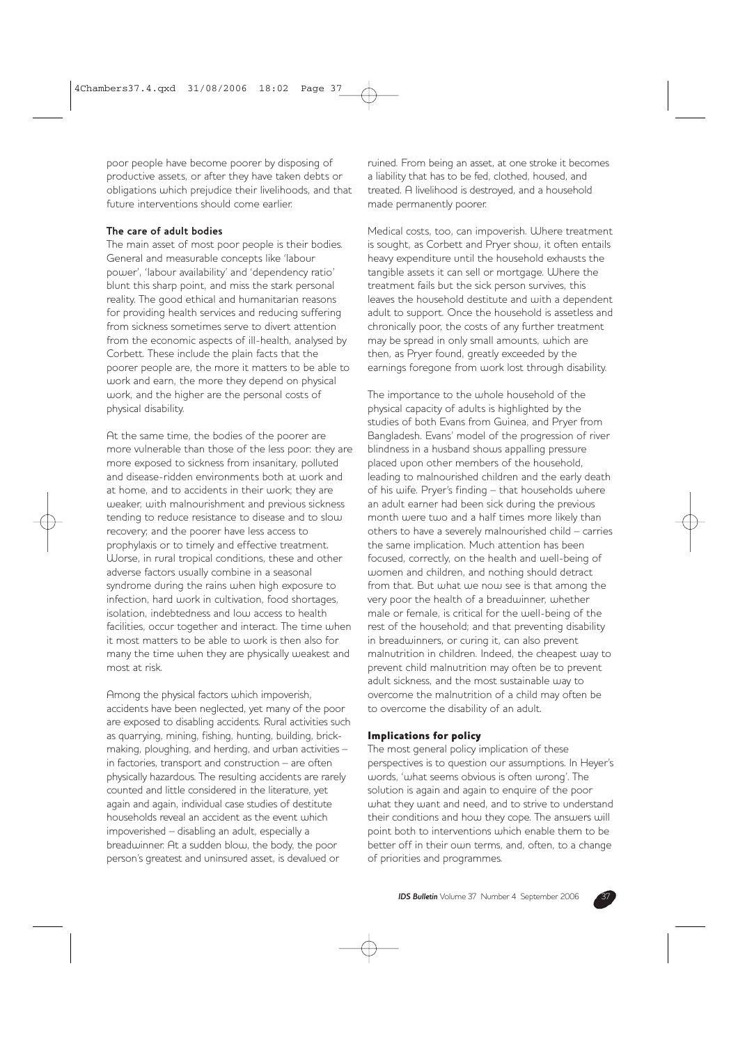poor people have become poorer by disposing of productive assets, or after they have taken debts or obligations which prejudice their livelihoods, and that future interventions should come earlier.

# **The care of adult bodies**

The main asset of most poor people is their bodies. General and measurable concepts like 'labour power', 'labour availability' and 'dependency ratio' blunt this sharp point, and miss the stark personal reality. The good ethical and humanitarian reasons for providing health services and reducing suffering from sickness sometimes serve to divert attention from the economic aspects of ill-health, analysed by Corbett. These include the plain facts that the poorer people are, the more it matters to be able to work and earn, the more they depend on physical work, and the higher are the personal costs of physical disability.

At the same time, the bodies of the poorer are more vulnerable than those of the less poor: they are more exposed to sickness from insanitary, polluted and disease-ridden environments both at work and at home, and to accidents in their work; they are weaker, with malnourishment and previous sickness tending to reduce resistance to disease and to slow recovery; and the poorer have less access to prophylaxis or to timely and effective treatment. Worse, in rural tropical conditions, these and other adverse factors usually combine in a seasonal syndrome during the rains when high exposure to infection, hard work in cultivation, food shortages, isolation, indebtedness and low access to health facilities, occur together and interact. The time when it most matters to be able to work is then also for many the time when they are physically weakest and most at risk.

Among the physical factors which impoverish, accidents have been neglected, yet many of the poor are exposed to disabling accidents. Rural activities such as quarrying, mining, fishing, hunting, building, brickmaking, ploughing, and herding, and urban activities – in factories, transport and construction – are often physically hazardous. The resulting accidents are rarely counted and little considered in the literature, yet again and again, individual case studies of destitute households reveal an accident as the event which impoverished – disabling an adult, especially a breadwinner. At a sudden blow, the body, the poor person's greatest and uninsured asset, is devalued or

ruined. From being an asset, at one stroke it becomes a liability that has to be fed, clothed, housed, and treated. A livelihood is destroyed, and a household made permanently poorer.

Medical costs, too, can impoverish. Where treatment is sought, as Corbett and Pryer show, it often entails heavy expenditure until the household exhausts the tangible assets it can sell or mortgage. Where the treatment fails but the sick person survives, this leaves the household destitute and with a dependent adult to support. Once the household is assetless and chronically poor, the costs of any further treatment may be spread in only small amounts, which are then, as Pryer found, greatly exceeded by the earnings foregone from work lost through disability.

The importance to the whole household of the physical capacity of adults is highlighted by the studies of both Evans from Guinea, and Pryer from Bangladesh. Evans' model of the progression of river blindness in a husband shows appalling pressure placed upon other members of the household, leading to malnourished children and the early death of his wife. Pryer's finding – that households where an adult earner had been sick during the previous month were two and a half times more likely than others to have a severely malnourished child – carries the same implication. Much attention has been focused, correctly, on the health and well-being of women and children, and nothing should detract from that. But what we now see is that among the very poor the health of a breadwinner, whether male or female, is critical for the well-being of the rest of the household; and that preventing disability in breadwinners, or curing it, can also prevent malnutrition in children. Indeed, the cheapest way to prevent child malnutrition may often be to prevent adult sickness, and the most sustainable way to overcome the malnutrition of a child may often be to overcome the disability of an adult.

## Implications for policy

The most general policy implication of these perspectives is to question our assumptions. In Heyer's words, 'what seems obvious is often wrong'. The solution is again and again to enquire of the poor what they want and need, and to strive to understand their conditions and how they cope. The answers will point both to interventions which enable them to be better off in their own terms, and, often, to a change of priorities and programmes.

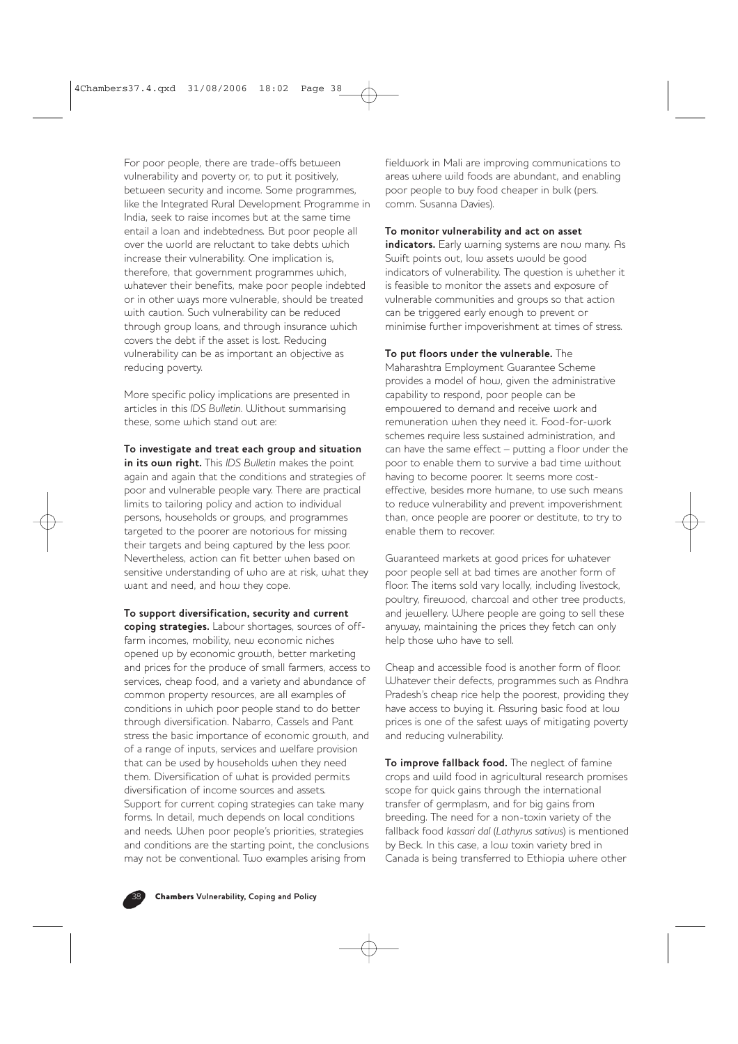For poor people, there are trade-offs between vulnerability and poverty or, to put it positively, between security and income. Some programmes, like the Integrated Rural Development Programme in India, seek to raise incomes but at the same time entail a loan and indebtedness. But poor people all over the world are reluctant to take debts which increase their vulnerability. One implication is, therefore, that government programmes which, whatever their benefits, make poor people indebted or in other ways more vulnerable, should be treated with caution. Such vulnerability can be reduced through group loans, and through insurance which covers the debt if the asset is lost. Reducing vulnerability can be as important an objective as reducing poverty.

More specific policy implications are presented in articles in this *IDS Bulletin*. Without summarising these, some which stand out are:

**To investigate and treat each group and situation in its own right.** This *IDS Bulletin* makes the point again and again that the conditions and strategies of poor and vulnerable people vary. There are practical limits to tailoring policy and action to individual persons, households or groups, and programmes targeted to the poorer are notorious for missing their targets and being captured by the less poor. Nevertheless, action can fit better when based on sensitive understanding of who are at risk, what they want and need, and how they cope.

**To support diversification, security and current coping strategies.** Labour shortages, sources of offfarm incomes, mobility, new economic niches opened up by economic growth, better marketing and prices for the produce of small farmers, access to services, cheap food, and a variety and abundance of common property resources, are all examples of conditions in which poor people stand to do better through diversification. Nabarro, Cassels and Pant stress the basic importance of economic growth, and of a range of inputs, services and welfare provision that can be used by households when they need them. Diversification of what is provided permits diversification of income sources and assets. Support for current coping strategies can take many forms. In detail, much depends on local conditions and needs. When poor people's priorities, strategies and conditions are the starting point, the conclusions may not be conventional. Two examples arising from

fieldwork in Mali are improving communications to areas where wild foods are abundant, and enabling poor people to buy food cheaper in bulk (pers. comm. Susanna Davies).

# **To monitor vulnerability and act on asset**

**indicators.** Early warning systems are now many. As Swift points out, low assets would be good indicators of vulnerability. The question is whether it is feasible to monitor the assets and exposure of vulnerable communities and groups so that action can be triggered early enough to prevent or minimise further impoverishment at times of stress.

# **To put floors under the vulnerable.** The

Maharashtra Employment Guarantee Scheme provides a model of how, given the administrative capability to respond, poor people can be empowered to demand and receive work and remuneration when they need it. Food-for-work schemes require less sustained administration, and can have the same effect – putting a floor under the poor to enable them to survive a bad time without having to become poorer. It seems more costeffective, besides more humane, to use such means to reduce vulnerability and prevent impoverishment than, once people are poorer or destitute, to try to enable them to recover.

Guaranteed markets at good prices for whatever poor people sell at bad times are another form of floor. The items sold vary locally, including livestock, poultry, firewood, charcoal and other tree products, and jewellery. Where people are going to sell these anyway, maintaining the prices they fetch can only help those who have to sell.

Cheap and accessible food is another form of floor. Whatever their defects, programmes such as Andhra Pradesh's cheap rice help the poorest, providing they have access to buying it. Assuring basic food at low prices is one of the safest ways of mitigating poverty and reducing vulnerability.

**To improve fallback food.** The neglect of famine crops and wild food in agricultural research promises scope for quick gains through the international transfer of germplasm, and for big gains from breeding. The need for a non-toxin variety of the fallback food *kassari dal* (*Lathyrus sativus*) is mentioned by Beck. In this case, a low toxin variety bred in Canada is being transferred to Ethiopia where other

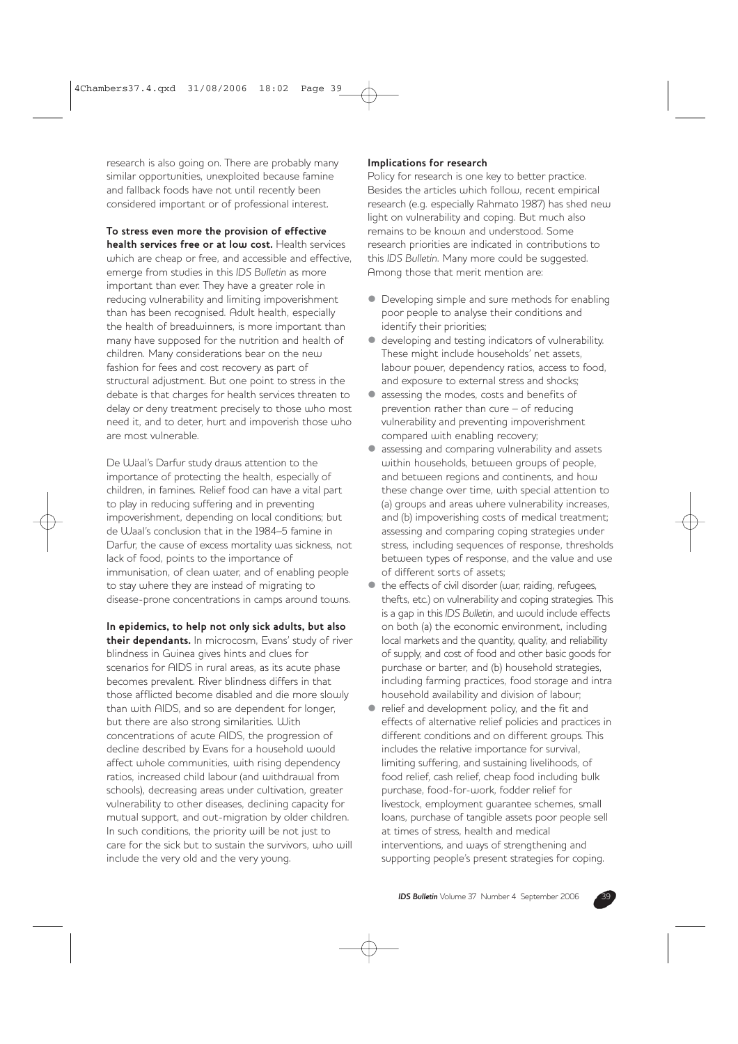research is also going on. There are probably many similar opportunities, unexploited because famine and fallback foods have not until recently been considered important or of professional interest.

**To stress even more the provision of effective health services free or at low cost.** Health services which are cheap or free, and accessible and effective, emerge from studies in this *IDS Bulletin* as more important than ever. They have a greater role in reducing vulnerability and limiting impoverishment than has been recognised. Adult health, especially the health of breadwinners, is more important than many have supposed for the nutrition and health of children. Many considerations bear on the new fashion for fees and cost recovery as part of structural adjustment. But one point to stress in the debate is that charges for health services threaten to delay or deny treatment precisely to those who most need it, and to deter, hurt and impoverish those who are most vulnerable.

De Waal's Darfur study draws attention to the importance of protecting the health, especially of children, in famines. Relief food can have a vital part to play in reducing suffering and in preventing impoverishment, depending on local conditions; but de Waal's conclusion that in the 1984–5 famine in Darfur, the cause of excess mortality was sickness, not lack of food, points to the importance of immunisation, of clean water, and of enabling people to stay where they are instead of migrating to disease-prone concentrations in camps around towns.

**In epidemics, to help not only sick adults, but also their dependants.** In microcosm, Evans' study of river blindness in Guinea gives hints and clues for scenarios for AIDS in rural areas, as its acute phase becomes prevalent. River blindness differs in that those afflicted become disabled and die more slowly than with AIDS, and so are dependent for longer, but there are also strong similarities. With concentrations of acute AIDS, the progression of decline described by Evans for a household would affect whole communities, with rising dependency ratios, increased child labour (and withdrawal from schools), decreasing areas under cultivation, greater vulnerability to other diseases, declining capacity for mutual support, and out-migration by older children. In such conditions, the priority will be not just to care for the sick but to sustain the survivors, who will include the very old and the very young.

# **Implications for research**

Policy for research is one key to better practice. Besides the articles which follow, recent empirical research (e.g. especially Rahmato 1987) has shed new light on vulnerability and coping. But much also remains to be known and understood. Some research priorities are indicated in contributions to this *IDS Bulletin*. Many more could be suggested. Among those that merit mention are:

- Developing simple and sure methods for enabling poor people to analyse their conditions and identify their priorities;
- **•** developing and testing indicators of vulnerability. These might include households' net assets, labour power, dependency ratios, access to food, and exposure to external stress and shocks;
- assessing the modes, costs and benefits of prevention rather than cure – of reducing vulnerability and preventing impoverishment compared with enabling recovery;
- assessing and comparing vulnerability and assets within households, between groups of people, and between regions and continents, and how these change over time, with special attention to (a) groups and areas where vulnerability increases, and (b) impoverishing costs of medical treatment; assessing and comparing coping strategies under stress, including sequences of response, thresholds between types of response, and the value and use of different sorts of assets;
- $\bullet$  the effects of civil disorder (war, raiding, refugees, thefts, etc.) on vulnerability and coping strategies. This is a gap in this *IDS Bulletin*, and would include effects on both (a) the economic environment, including local markets and the quantity, quality, and reliability of supply, and cost of food and other basic goods for purchase or barter, and (b) household strategies, including farming practices, food storage and intra household availability and division of labour;
- relief and development policy, and the fit and effects of alternative relief policies and practices in different conditions and on different groups. This includes the relative importance for survival, limiting suffering, and sustaining livelihoods, of food relief, cash relief, cheap food including bulk purchase, food-for-work, fodder relief for livestock, employment guarantee schemes, small loans, purchase of tangible assets poor people sell at times of stress, health and medical interventions, and ways of strengthening and supporting people's present strategies for coping.